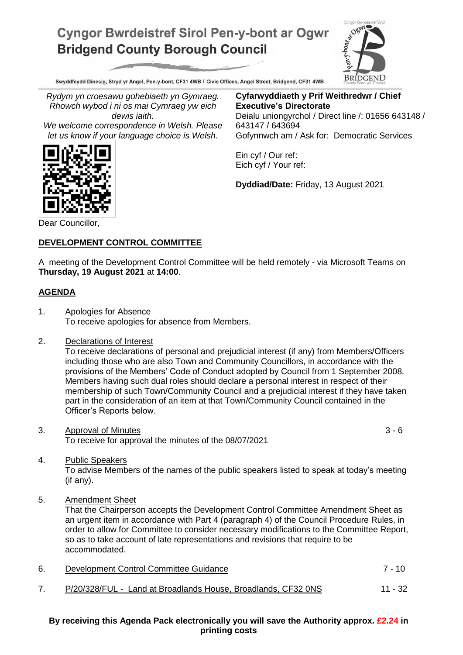## **Cyngor Bwrdeistref Sirol Pen-y-bont ar Ogwr Bridgend County Borough Council**



Swyddfeydd Dinesig, Stryd yr Angel, Pen-y-bont, CF31 4WB / Civic Offices, Angel Street, Bridgend, CF31 4WB

*Rydym yn croesawu gohebiaeth yn Gymraeg. Rhowch wybod i ni os mai Cymraeg yw eich dewis iaith.*

*We welcome correspondence in Welsh. Please let us know if your language choice is Welsh.*

**Cyfarwyddiaeth y Prif Weithredwr / Chief Executive's Directorate** Deialu uniongyrchol / Direct line /: 01656 643148 / 643147 / 643694 Gofynnwch am / Ask for: Democratic Services

Ein cyf / Our ref: Eich cyf / Your ref:

**Dyddiad/Date:** Friday, 13 August 2021

Dear Councillor,

## **DEVELOPMENT CONTROL COMMITTEE**

A meeting of the Development Control Committee will be held remotely - via Microsoft Teams on **Thursday, 19 August 2021** at **14:00**.

## **AGENDA**

- 1. Apologies for Absence To receive apologies for absence from Members.
- 2. Declarations of Interest

To receive declarations of personal and prejudicial interest (if any) from Members/Officers including those who are also Town and Community Councillors, in accordance with the provisions of the Members' Code of Conduct adopted by Council from 1 September 2008. Members having such dual roles should declare a personal interest in respect of their membership of such Town/Community Council and a prejudicial interest if they have taken part in the consideration of an item at that Town/Community Council contained in the Officer's Reports below.

3. Approval of Minutes 3 - 6 To receive for approval the minutes of the 08/07/2021

4. Public Speakers

To advise Members of the names of the public speakers listed to speak at today's meeting (if any).

5. Amendment Sheet

That the Chairperson accepts the Development Control Committee Amendment Sheet as an urgent item in accordance with Part 4 (paragraph 4) of the Council Procedure Rules, in order to allow for Committee to consider necessary modifications to the Committee Report, so as to take account of late representations and revisions that require to be accommodated.

| 6. | Development Control Committee Guidance                        | 7 - 10  |  |
|----|---------------------------------------------------------------|---------|--|
|    | P/20/328/FUL - Land at Broadlands House, Broadlands, CF32 0NS | 11 - 32 |  |

**By receiving this Agenda Pack electronically you will save the Authority approx. £2.24 in printing costs**